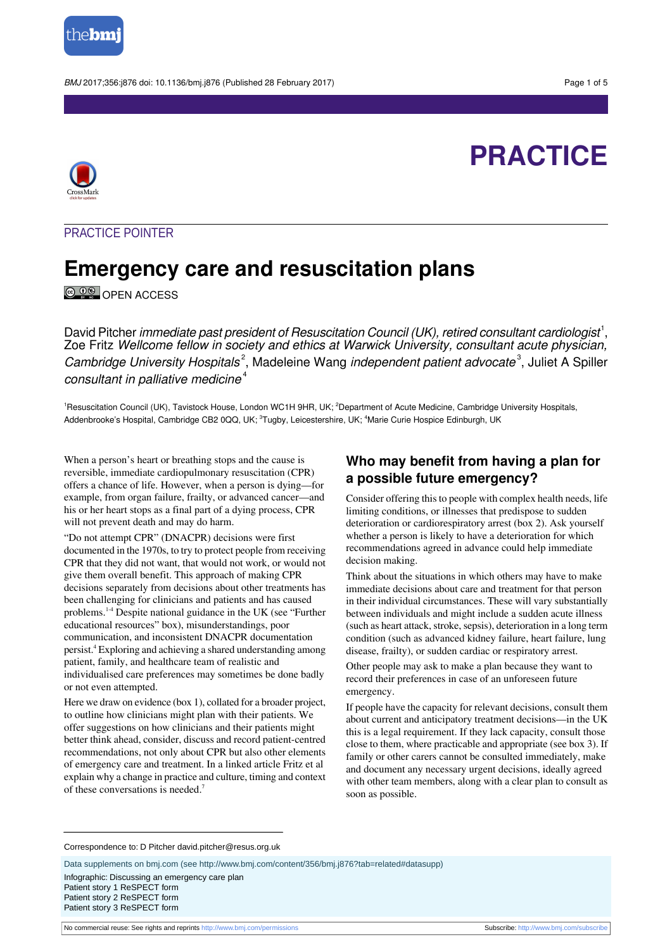

BMJ 2017;356:j876 doi: 10.1136/bmj.j876 (Published 28 February 2017) Page 1 of 5

# **PRACTICE**



### PRACTICE POINTER

## **Emergency care and resuscitation plans**

COO OPEN ACCESS

David Pitcher *immediate past president of Resuscitation Council (UK), retired consultant cardiologist<sup>1</sup>,* Zoe Fritz Wellcome fellow in society and ethics at Warwick University, consultant acute physician, Cambridge University Hospitals<sup>2</sup>, Madeleine Wang independent patient advocate<sup>3</sup>, Juliet A Spiller consultant in palliative medicine<sup>4</sup>

<sup>1</sup>Resuscitation Council (UK), Tavistock House, London WC1H 9HR, UK; <sup>2</sup>Department of Acute Medicine, Cambridge University Hospitals, Addenbrooke's Hospital, Cambridge CB2 0QQ, UK; <sup>3</sup>Tugby, Leicestershire, UK; <sup>4</sup>Marie Curie Hospice Edinburgh, UK

When a person's heart or breathing stops and the cause is reversible, immediate cardiopulmonary resuscitation (CPR) offers a chance of life. However, when a person is dying—for example, from organ failure, frailty, or advanced cancer—and his or her heart stops as a final part of a dying process, CPR will not prevent death and may do harm.

"Do not attempt CPR" (DNACPR) decisions were first documented in the 1970s, to try to protect people from receiving CPR that they did not want, that would not work, or would not give them overall benefit. This approach of making CPR decisions separately from decisions about other treatments has been challenging for clinicians and patients and has caused problems.1-4 Despite national guidance in the UK (see "Further educational resources" box), misunderstandings, poor communication, and inconsistent DNACPR documentation persist.<sup>4</sup> Exploring and achieving a shared understanding among patient, family, and healthcare team of realistic and individualised care preferences may sometimes be done badly or not even attempted.

Here we draw on evidence (box 1), collated for a broader project, to outline how clinicians might plan with their patients. We offer suggestions on how clinicians and their patients might better think ahead, consider, discuss and record patient-centred recommendations, not only about CPR but also other elements of emergency care and treatment. In a linked article Fritz et al explain why a change in practice and culture, timing and context of these conversations is needed.<sup>7</sup>

### **Who may benefit from having a plan for a possible future emergency?**

Consider offering this to people with complex health needs, life limiting conditions, or illnesses that predispose to sudden deterioration or cardiorespiratory arrest (box 2). Ask yourself whether a person is likely to have a deterioration for which recommendations agreed in advance could help immediate decision making.

Think about the situations in which others may have to make immediate decisions about care and treatment for that person in their individual circumstances. These will vary substantially between individuals and might include a sudden acute illness (such as heart attack, stroke, sepsis), deterioration in a long term condition (such as advanced kidney failure, heart failure, lung disease, frailty), or sudden cardiac or respiratory arrest.

Other people may ask to make a plan because they want to record their preferences in case of an unforeseen future emergency.

If people have the capacity for relevant decisions, consult them about current and anticipatory treatment decisions—in the UK this is a legal requirement. If they lack capacity, consult those close to them, where practicable and appropriate (see box 3). If family or other carers cannot be consulted immediately, make and document any necessary urgent decisions, ideally agreed with other team members, along with a clear plan to consult as soon as possible.

Correspondence to: D Pitcher david.pitcher@resus.org.uk

Data supplements on bmj.com (see <http://www.bmj.com/content/356/bmj.j876?tab=related#datasupp>)

Infographic: Discussing an emergency care plan Patient story 1 ReSPECT form Patient story 2 ReSPECT form Patient story 3 ReSPECT form

No commercial reuse: See rights and reprints <http://www.bmj.com/permissions> Subscribe: <http://www.bmj.com/subscribe>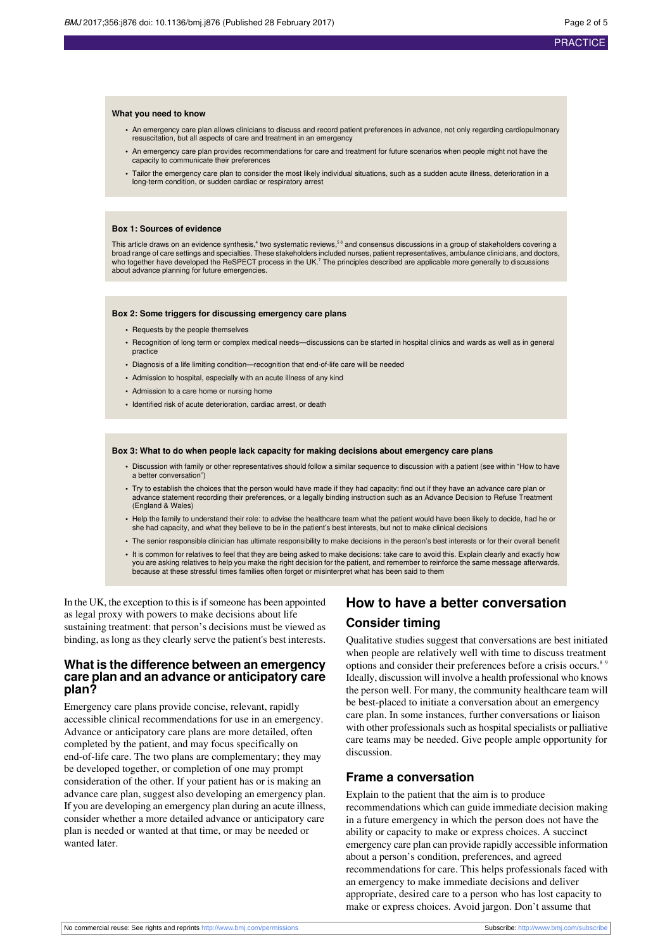#### **What you need to know**

- **•** An emergency care plan allows clinicians to discuss and record patient preferences in advance, not only regarding cardiopulmonary resuscitation, but all aspects of care and treatment in an emergency
- **•** An emergency care plan provides recommendations for care and treatment for future scenarios when people might not have the capacity to communicate their preferences
- **•** Tailor the emergency care plan to consider the most likely individual situations, such as a sudden acute illness, deterioration in a long-term condition, or sudden cardiac or respiratory arrest

### **Box 1: Sources of evidence**

This article draws on an evidence synthesis,<sup>4</sup> two systematic reviews,<sup>56</sup> and consensus discussions in a group of stakeholders covering a broad range of care settings and specialties. These stakeholders included nurses, patient representatives, ambulance clinicians, and doctors, who together have developed the ReSPECT process in the UK.<sup>7</sup> The principles described are applicable more generally to discussions about advance planning for future emergencies.

### **Box 2: Some triggers for discussing emergency care plans**

- **•** Requests by the people themselves
- **•** Recognition of long term or complex medical needs—discussions can be started in hospital clinics and wards as well as in general practice
- **•** Diagnosis of a life limiting condition—recognition that end-of-life care will be needed
- **•** Admission to hospital, especially with an acute illness of any kind
- **•** Admission to a care home or nursing home
- **•** Identified risk of acute deterioration, cardiac arrest, or death

### **Box 3: What to do when people lack capacity for making decisions about emergency care plans**

- Discussion with family or other representatives should follow a similar sequence to discussion with a patient (see within "How to have a better conversation")
- **•** Try to establish the choices that the person would have made if they had capacity; find out if they have an advance care plan or advance statement recording their preferences, or a legally binding instruction such as an Advance Decision to Refuse Treatment (England & Wales)
- **•** Help the family to understand their role: to advise the healthcare team what the patient would have been likely to decide, had he or she had capacity, and what they believe to be in the patient's best interests, but not to make clinical decisions
- The senior responsible clinician has ultimate responsibility to make decisions in the person's best interests or for their overall benefit
- It is common for relatives to feel that they are being asked to make decisions: take care to avoid this. Explain clearly and exactly how you are asking relatives to help you make the right decision for the patient, and remember to reinforce the same message afterwards, because at these stressful times families often forget or misinterpret what has been said to them

In the UK, the exception to this is if someone has been appointed as legal proxy with powers to make decisions about life sustaining treatment: that person's decisions must be viewed as binding, aslong asthey clearly serve the patient's best interests.

### **What is the difference between an emergency care plan and an advance or anticipatory care plan?**

Emergency care plans provide concise, relevant, rapidly accessible clinical recommendations for use in an emergency. Advance or anticipatory care plans are more detailed, often completed by the patient, and may focus specifically on end-of-life care. The two plans are complementary; they may be developed together, or completion of one may prompt consideration of the other. If your patient has or is making an advance care plan, suggest also developing an emergency plan. If you are developing an emergency plan during an acute illness, consider whether a more detailed advance or anticipatory care plan is needed or wanted at that time, or may be needed or wanted later.

### **How to have a better conversation Consider timing**

Qualitative studies suggest that conversations are best initiated when people are relatively well with time to discuss treatment options and consider their preferences before a crisis occurs.<sup>8</sup> Ideally, discussion will involve a health professional who knows the person well. For many, the community healthcare team will be best-placed to initiate a conversation about an emergency care plan. In some instances, further conversations or liaison with other professionals such as hospital specialists or palliative care teams may be needed. Give people ample opportunity for discussion.

### **Frame a conversation**

Explain to the patient that the aim is to produce recommendations which can guide immediate decision making in a future emergency in which the person does not have the ability or capacity to make or express choices. A succinct emergency care plan can provide rapidly accessible information about a person's condition, preferences, and agreed recommendations for care. This helps professionals faced with an emergency to make immediate decisions and deliver appropriate, desired care to a person who has lost capacity to make or express choices. Avoid jargon. Don't assume that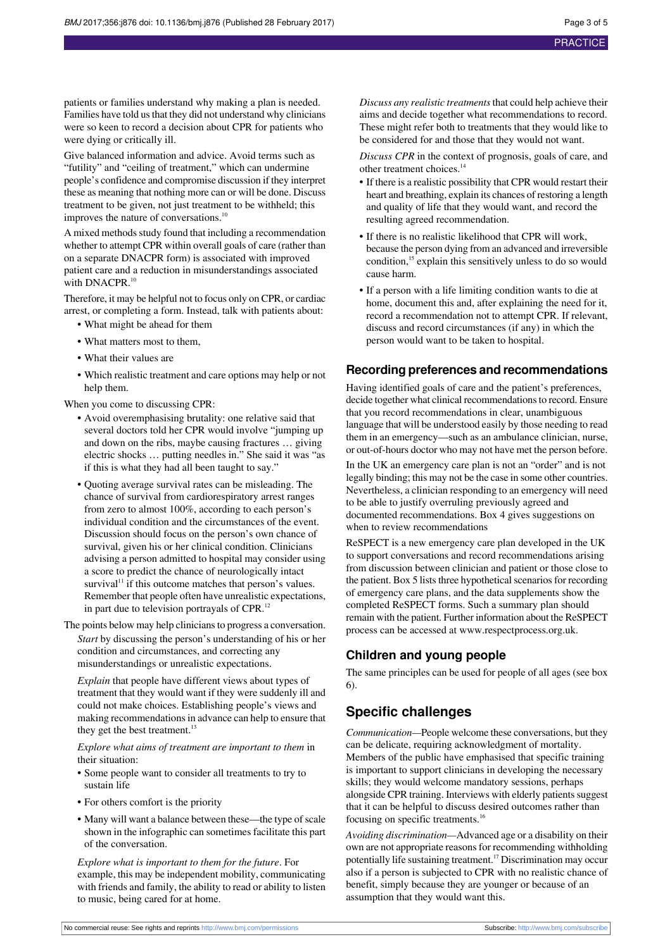patients or families understand why making a plan is needed. Families have told us that they did not understand why clinicians were so keen to record a decision about CPR for patients who were dying or critically ill.

Give balanced information and advice. Avoid terms such as "futility" and "ceiling of treatment," which can undermine people's confidence and compromise discussion if they interpret these as meaning that nothing more can or will be done. Discuss treatment to be given, not just treatment to be withheld; this improves the nature of conversations.<sup>10</sup>

A mixed methods study found that including a recommendation whether to attempt CPR within overall goals of care (rather than on a separate DNACPR form) is associated with improved patient care and a reduction in misunderstandings associated with DNACPR.<sup>10</sup>

Therefore, it may be helpful not to focus only on CPR, or cardiac arrest, or completing a form. Instead, talk with patients about:

- **•** What might be ahead for them
- **•** What matters most to them,
- **•** What their values are
- **•** Which realistic treatment and care options may help or not help them.

When you come to discussing CPR:

- **•** Avoid overemphasising brutality: one relative said that several doctors told her CPR would involve "jumping up and down on the ribs, maybe causing fractures … giving electric shocks … putting needles in." She said it was "as if this is what they had all been taught to say."
- **•** Quoting average survival rates can be misleading. The chance of survival from cardiorespiratory arrest ranges from zero to almost 100%, according to each person's individual condition and the circumstances of the event. Discussion should focus on the person's own chance of survival, given his or her clinical condition. Clinicians advising a person admitted to hospital may consider using a score to predict the chance of neurologically intact survival $11$  if this outcome matches that person's values. Remember that people often have unrealistic expectations, in part due to television portrayals of CPR.<sup>12</sup>

The points below may help clinicians to progress a conversation. *Start* by discussing the person's understanding of his or her condition and circumstances, and correcting any misunderstandings or unrealistic expectations.

*Explain* that people have different views about types of treatment that they would want if they were suddenly ill and could not make choices. Establishing people's views and making recommendationsin advance can help to ensure that they get the best treatment.<sup>13</sup>

*Explore what aims of treatment are important to them* in their situation:

- **•** Some people want to consider all treatments to try to sustain life
- **•** For others comfort is the priority
- Many will want a balance between these—the type of scale shown in the infographic can sometimes facilitate this part of the conversation.

*Explore what is important to them for the future*. For example, this may be independent mobility, communicating with friends and family, the ability to read or ability to listen to music, being cared for at home.

*Discuss any realistic treatments*that could help achieve their aims and decide together what recommendations to record. These might refer both to treatments that they would like to be considered for and those that they would not want.

*Discuss CPR* in the context of prognosis, goals of care, and other treatment choices.<sup>14</sup>

- **•** If there is a realistic possibility that CPR would restart their heart and breathing, explain its chances of restoring a length and quality of life that they would want, and record the resulting agreed recommendation.
- **•** If there is no realistic likelihood that CPR will work, because the person dying from an advanced and irreversible condition,<sup>15</sup> explain this sensitively unless to do so would cause harm.
- **•** If a person with a life limiting condition wants to die at home, document this and, after explaining the need for it, record a recommendation not to attempt CPR. If relevant, discuss and record circumstances (if any) in which the person would want to be taken to hospital.

### **Recording preferences and recommendations**

Having identified goals of care and the patient's preferences, decide together what clinical recommendations to record. Ensure that you record recommendations in clear, unambiguous language that will be understood easily by those needing to read them in an emergency—such as an ambulance clinician, nurse, or out-of-hours doctor who may not have met the person before.

In the UK an emergency care plan is not an "order" and is not legally binding; this may not be the case in some other countries. Nevertheless, a clinician responding to an emergency will need to be able to justify overruling previously agreed and documented recommendations. Box 4 gives suggestions on when to review recommendations

ReSPECT is a new emergency care plan developed in the UK to support conversations and record recommendations arising from discussion between clinician and patient or those close to the patient. Box 5 lists three hypothetical scenarios for recording of emergency care plans, and the data supplements show the completed ReSPECT forms. Such a summary plan should remain with the patient. Further information about the ReSPECT process can be accessed at [www.respectprocess.org.uk](http://www.respectprocess.org.uk).

### **Children and young people**

The same principles can be used for people of all ages (see box 6).

### **Specific challenges**

*Communication—*People welcome these conversations, but they can be delicate, requiring acknowledgment of mortality. Members of the public have emphasised that specific training is important to support clinicians in developing the necessary skills; they would welcome mandatory sessions, perhaps alongside CPR training. Interviews with elderly patients suggest that it can be helpful to discuss desired outcomes rather than focusing on specific treatments.<sup>16</sup>

*Avoiding discrimination—*Advanced age or a disability on their own are not appropriate reasons for recommending withholding potentially life sustaining treatment.<sup>17</sup> Discrimination may occur also if a person is subjected to CPR with no realistic chance of benefit, simply because they are younger or because of an assumption that they would want this.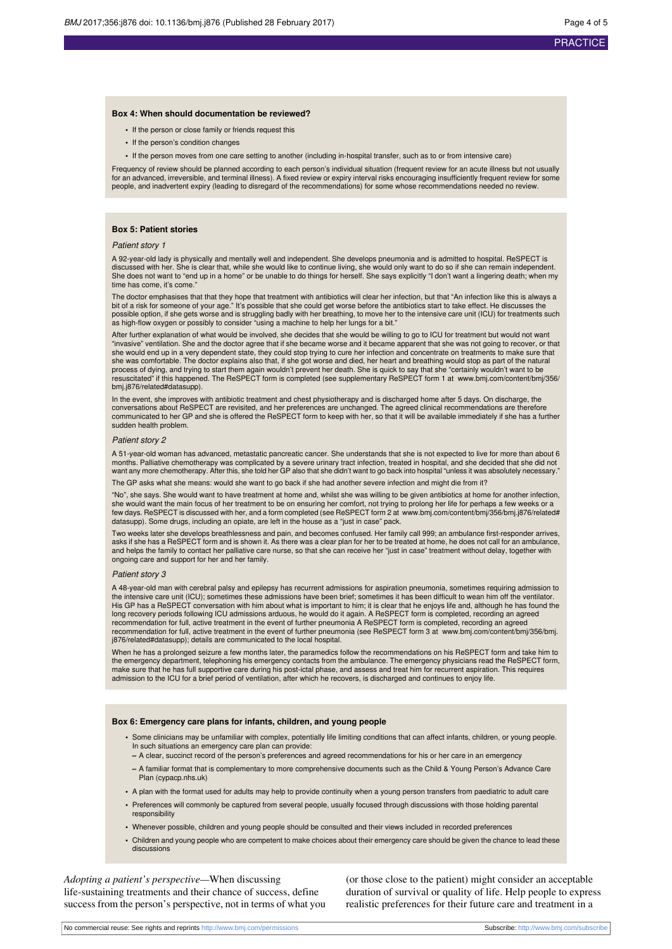### **Box 4: When should documentation be reviewed?**

- **•** If the person or close family or friends request this
- **•** If the person's condition changes
- **•** If the person moves from one care setting to another (including in-hospital transfer, such as to or from intensive care)

Frequency of review should be planned according to each person's individual situation (frequent review for an acute illness but not usually for an advanced, irreversible, and terminal illness). A fixed review or expiry interval risks encouraging insufficiently frequent review for some people, and inadvertent expiry (leading to disregard of the recommendations) for some whose recommendations needed no review.

#### **Box 5: Patient stories**

#### Patient story 1

A 92-year-old lady is physically and mentally well and independent. She develops pneumonia and is admitted to hospital. ReSPECT is discussed with her. She is clear that, while she would like to continue living, she would only want to do so if she can remain independent. She does not want to "end up in a home" or be unable to do things for herself. She says explicitly "I don't want a lingering death; when my time has come, it's come.

The doctor emphasises that that they hope that treatment with antibiotics will clear her infection, but that "An infection like this is always a bit of a risk for someone of your age." It's possible that she could get worse before the antibiotics start to take effect. He discusses the possible option, if she gets worse and is struggling badly with her breathing, to move her to the intensive care unit (ICU) for treatments such as high-flow oxygen or possibly to consider "using a machine to help her lungs for a bit.

After further explanation of what would be involved, she decides that she would be willing to go to ICU for treatment but would not want "invasive" ventilation. She and the doctor agree that if she became worse and it became apparent that she was not going to recover, or that she would end up in a very dependent state, they could stop trying to cure her infection and concentrate on treatments to make sure that she was comfortable. The doctor explains also that, if she got worse and died, her heart and breathing would stop as part of the natural process of dying, and trying to start them again wouldn't prevent her death. She is quick to say that she "certainly wouldn't want to be resuscitated" if this happened. The ReSPECT form is completed (see supplementary ReSPECT form 1 at [www.bmj.com/content/bmj/356/](http://www.bmj.com/content/bmj/356/bmj.j876/related#datasupp) [bmj.j876/related#datasupp\)](http://www.bmj.com/content/bmj/356/bmj.j876/related#datasupp).

In the event, she improves with antibiotic treatment and chest physiotherapy and is discharged home after 5 days. On discharge, the conversations about ReSPECT are revisited, and her preferences are unchanged. The agreed clinical recommendations are therefore communicated to her GP and she is offered the ReSPECT form to keep with her, so that it will be available immediately if she has a further sudden health problem.

#### Patient story 2

A 51-year-old woman has advanced, metastatic pancreatic cancer. She understands that she is not expected to live for more than about 6 months. Palliative chemotherapy was complicated by a severe urinary tract infection, treated in hospital, and she decided that she did not want any more chemotherapy. After this, she told her GP also that she didn't want to go back into hospital "unless it was absolutely necessary." The GP asks what she means: would she want to go back if she had another severe infection and might die from it?

"No", she says. She would want to have treatment at home and, whilst she was willing to be given antibiotics at home for another infection, she would want the main focus of her treatment to be on ensuring her comfort, not trying to prolong her life for perhaps a few weeks or a few days. ReSPECT is discussed with her, and a form completed (see ReSPECT form 2 at [www.bmj.com/content/bmj/356/bmj.j876/related#](http://www.bmj.com/content/bmj/356/bmj.j876/related#datasupp) [datasupp\)](http://www.bmj.com/content/bmj/356/bmj.j876/related#datasupp). Some drugs, including an opiate, are left in the house as a "just in case" pack.

Two weeks later she develops breathlessness and pain, and becomes confused. Her family call 999; an ambulance first-responder arrives, asks if she has a ReSPECT form and is shown it. As there was a clear plan for her to be treated at home, he does not call for an ambulance,<br>and helps the family to contact her palliative care nurse, so that she can receive ongoing care and support for her and her family.

#### Patient story 3

A 48-year-old man with cerebral palsy and epilepsy has recurrent admissions for aspiration pneumonia, sometimes requiring admission to the intensive care unit (ICU); sometimes these admissions have been brief; sometimes it has been difficult to wean him off the ventilator. His GP has a ReSPECT conversation with him about what is important to him; it is clear that he enjoys life and, although he has found the<br>Iong recovery periods following ICU admissions arduous, he would do it again. A ReSP recommendation for full, active treatment in the event of further pneumonia A ReSPECT form is completed, recording an agreed recommendation for full, active treatment in the event of further pneumonia (see ReSPECT form 3 at [www.bmj.com/content/bmj/356/bmj.](http://www.bmj.com/content/bmj/356/bmj.j876/related#datasupp) [j876/related#datasupp\)](http://www.bmj.com/content/bmj/356/bmj.j876/related#datasupp); details are communicated to the local hospital.

When he has a prolonged seizure a few months later, the paramedics follow the recommendations on his ReSPECT form and take him to the emergency department, telephoning his emergency contacts from the ambulance. The emergency physicians read the ReSPECT form, make sure that he has full supportive care during his post-ictal phase, and assess and treat him for recurrent aspiration. This requires admission to the ICU for a brief period of ventilation, after which he recovers, is discharged and continues to enjoy life.

#### **Box 6: Emergency care plans for infants, children, and young people**

- **•** Some clinicians may be unfamiliar with complex, potentially life limiting conditions that can affect infants, children, or young people. In such situations an emergency care plan can provide:
- **–** A clear, succinct record of the person's preferences and agreed recommendations for his or her care in an emergency
- **–** A familiar format that is complementary to more comprehensive documents such as the Child & Young Person's Advance Care Plan [\(cypacp.nhs.uk\)](http://cypacp.nhs.uk)
- **•** A plan with the format used for adults may help to provide continuity when a young person transfers from paediatric to adult care
- **•** Preferences will commonly be captured from several people, usually focused through discussions with those holding parental responsibility
- **•** Whenever possible, children and young people should be consulted and their views included in recorded preferences
- **•** Children and young people who are competent to make choices about their emergency care should be given the chance to lead these discussions

*Adopting a patient's perspective—*When discussing life-sustaining treatments and their chance of success, define success from the person's perspective, not in terms of what you

(or those close to the patient) might consider an acceptable duration of survival or quality of life. Help people to express realistic preferences for their future care and treatment in a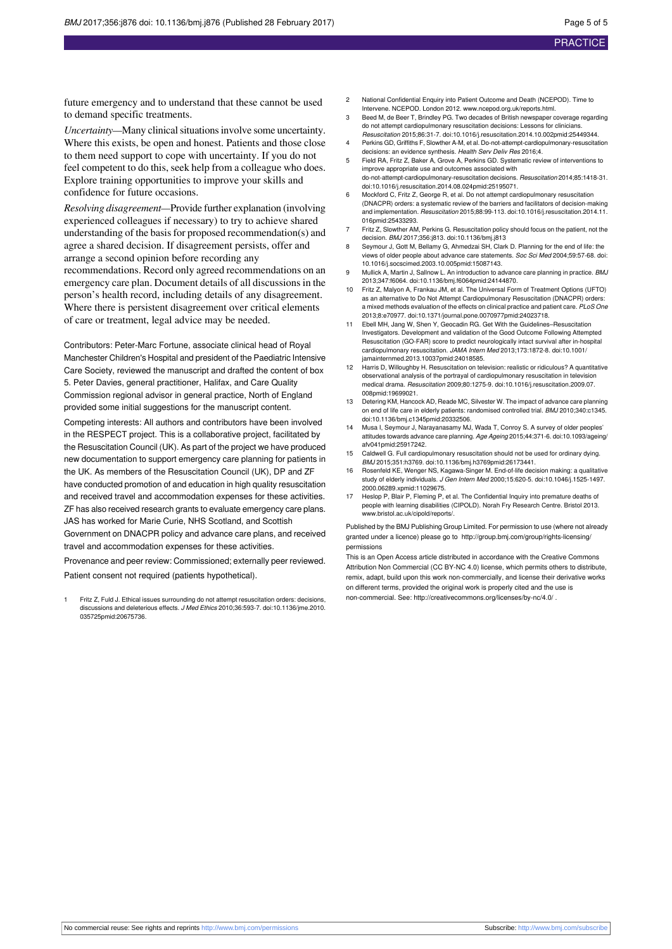future emergency and to understand that these cannot be used to demand specific treatments.

*Uncertainty*—Many clinical situations involve some uncertainty. Where this exists, be open and honest. Patients and those close to them need support to cope with uncertainty. If you do not feel competent to do this, seek help from a colleague who does. Explore training opportunities to improve your skills and confidence for future occasions.

*Resolving disagreement—*Provide further explanation (involving experienced colleagues if necessary) to try to achieve shared understanding of the basis for proposed recommendation(s) and agree a shared decision. If disagreement persists, offer and arrange a second opinion before recording any recommendations. Record only agreed recommendations on an emergency care plan. Document details of all discussions in the person's health record, including details of any disagreement. Where there is persistent disagreement over critical elements of care or treatment, legal advice may be needed.

Contributors: Peter-Marc Fortune, associate clinical head of Royal Manchester Children's Hospital and president of the Paediatric Intensive Care Society, reviewed the manuscript and drafted the content of box 5. Peter Davies, general practitioner, Halifax, and Care Quality Commission regional advisor in general practice, North of England provided some initial suggestions for the manuscript content. Competing interests: All authors and contributors have been involved in the RESPECT project. This is a collaborative project, facilitated by the Resuscitation Council (UK). As part of the project we have produced new documentation to support emergency care planning for patients in the UK. As members of the Resuscitation Council (UK), DP and ZF have conducted promotion of and education in high quality resuscitation and received travel and accommodation expenses for these activities. ZF has also received research grants to evaluate emergency care plans. JAS has worked for Marie Curie, NHS Scotland, and Scottish Government on DNACPR policy and advance care plans, and received travel and accommodation expenses for these activities.

Provenance and peer review: Commissioned; externally peer reviewed. Patient consent not required (patients hypothetical).

Fritz Z, Fuld J. Ethical issues surrounding do not attempt resuscitation orders: decisions discussions and deleterious effects. J Med Ethics 2010;36:593-7. [doi:10.1136/jme.2010.](http://dx.doi.org/10.1136/jme.2010.035725) [035725](http://dx.doi.org/10.1136/jme.2010.035725)[pmid:20675736](http://www.ncbi.nlm.nih.gov/pubmed/?term=20675736).

- 2 National Confidential Enquiry into Patient Outcome and Death (NCEPOD). Time to Intervene. NCEPOD. London 2012. [www.ncepod.org.uk/reports.html](http://www.ncepod.org.uk/reports.html).
- Beed M, de Beer T, Brindley PG. Two decades of British newspaper coverage regarding do not attempt cardiopulmonary resuscitation decisions: Lessons for clinicians. Resuscitation 2015;86:31-7. [doi:10.1016/j.resuscitation.2014.10.002](http://dx.doi.org/10.1016/j.resuscitation.2014.10.002)[pmid:25449344](http://www.ncbi.nlm.nih.gov/pubmed/?term=25449344).
- 4 Perkins GD, Griffiths F, Slowther A-M, et al. Do-not-attempt-cardiopulmonary-resuscitation decisions: an evidence synthesis. Health Serv Deliv Res 2016;4.
- 5 Field RA, Fritz Z, Baker A, Grove A, Perkins GD. Systematic review of interventions to improve appropriate use and outcomes associated with do-not-attempt-cardiopulmonary-resuscitation decisions. Resuscitation 2014;85:1418-31. [doi:10.1016/j.resuscitation.2014.08.024](http://dx.doi.org/10.1016/j.resuscitation.2014.08.024)[pmid:25195071.](http://www.ncbi.nlm.nih.gov/pubmed/?term=25195071)
- 6 Mockford C, Fritz Z, George R, et al. Do not attempt cardiopulmonary resuscitation (DNACPR) orders: a systematic review of the barriers and facilitators of decision-making and implementation. Resuscitation 2015;88:99-113. [doi:10.1016/j.resuscitation.2014.11.](http://dx.doi.org/10.1016/j.resuscitation.2014.11.016) [016](http://dx.doi.org/10.1016/j.resuscitation.2014.11.016)[pmid:25433293.](http://www.ncbi.nlm.nih.gov/pubmed/?term=25433293)
- 7 Fritz Z, Slowther AM, Perkins G. Resuscitation policy should focus on the patient, not the decision. BMJ 2017;356:j813. [doi:10.1136/bmj.j813](http://dx.doi.org/10.1136/bmj.j813)
- 8 Seymour J, Gott M, Bellamy G, Ahmedzai SH, Clark D. Planning for the end of life: the views of older people about advance care statements. Soc Sci Med 2004;59:57-68. [doi:](http://dx.doi.org/10.1016/j.socscimed.2003.10.005) [10.1016/j.socscimed.2003.10.005](http://dx.doi.org/10.1016/j.socscimed.2003.10.005)[pmid:15087143.](http://www.ncbi.nlm.nih.gov/pubmed/?term=15087143)
- 9 Mullick A, Martin J, Sallnow L. An introduction to advance care planning in practice. BMJ 2013;347:f6064. [doi:10.1136/bmj.f6064](http://dx.doi.org/10.1136/bmj.f6064)[pmid:24144870.](http://www.ncbi.nlm.nih.gov/pubmed/?term=24144870)
- 10 Fritz Z, Malyon A, Frankau JM, et al. The Universal Form of Treatment Options (UFTO) as an alternative to Do Not Attempt Cardiopulmonary Resuscitation (DNACPR) orders: a mixed methods evaluation of the effects on clinical practice and patient care. PLoS One 2013;8:e70977. [doi:10.1371/journal.pone.0070977](http://dx.doi.org/10.1371/journal.pone.0070977)[pmid:24023718.](http://www.ncbi.nlm.nih.gov/pubmed/?term=24023718)
- 11 Ebell MH, Jang W, Shen Y, Geocadin RG. Get With the Guidelines–Resuscitation Investigators. Development and validation of the Good Outcome Following Attempted Resuscitation (GO-FAR) score to predict neurologically intact survival after in-hospital cardiopulmonary resuscitation. JAMA Intern Med 2013;173:1872-8. [doi:10.1001/](http://dx.doi.org/10.1001/jamainternmed.2013.10037) [jamainternmed.2013.10037](http://dx.doi.org/10.1001/jamainternmed.2013.10037)[pmid:24018585](http://www.ncbi.nlm.nih.gov/pubmed/?term=24018585).
- 12 Harris D, Willoughby H. Resuscitation on television: realistic or ridiculous? A quantitative observational analysis of the portrayal of cardiopulmonary resuscitation in television medical drama. Resuscitation 2009;80:1275-9. [doi:10.1016/j.resuscitation.2009.07.](http://dx.doi.org/10.1016/j.resuscitation.2009.07.008) [008](http://dx.doi.org/10.1016/j.resuscitation.2009.07.008)[pmid:19699021.](http://www.ncbi.nlm.nih.gov/pubmed/?term=19699021)
- 13 Detering KM, Hancock AD, Reade MC, Silvester W. The impact of advance care planning on end of life care in elderly patients: randomised controlled trial. BMJ 2010;340:c1345. [doi:10.1136/bmj.c1345](http://dx.doi.org/10.1136/bmj.c1345)[pmid:20332506](http://www.ncbi.nlm.nih.gov/pubmed/?term=20332506).
- 14 Musa I, Seymour J, Narayanasamy MJ, Wada T, Conroy S. A survey of older peoples' attitudes towards advance care planning. Age Ageing 2015;44:371-6. [doi:10.1093/ageing/](http://dx.doi.org/10.1093/ageing/afv041) [afv041](http://dx.doi.org/10.1093/ageing/afv041)[pmid:25917242](http://www.ncbi.nlm.nih.gov/pubmed/?term=25917242).
- 15 Caldwell G. Full cardiopulmonary resuscitation should not be used for ordinary dying. BMJ 2015;351:h3769. [doi:10.1136/bmj.h3769](http://dx.doi.org/10.1136/bmj.h3769)[pmid:26173441](http://www.ncbi.nlm.nih.gov/pubmed/?term=26173441).
- 16 Rosenfeld KE, Wenger NS, Kagawa-Singer M. End-of-life decision making: a qualitative study of elderly individuals. J Gen Intern Med 2000;15:620-5. [doi:10.1046/j.1525-1497.](http://dx.doi.org/10.1046/j.1525-1497.2000.06289.x) [2000.06289.x](http://dx.doi.org/10.1046/j.1525-1497.2000.06289.x)[pmid:11029675.](http://www.ncbi.nlm.nih.gov/pubmed/?term=11029675)
- 17 Heslop P, Blair P, Fleming P, et al. The Confidential Inquiry into premature deaths of people with learning disabilities (CIPOLD). Norah Fry Research Centre. Bristol 2013. [www.bristol.ac.uk/cipold/reports/.](http://www.bristol.ac.uk/cipold/reports/)

Published by the BMJ Publishing Group Limited. For permission to use (where not already granted under a licence) please go to [http://group.bmj.com/group/rights-licensing/](http://group.bmj.com/group/rights-licensing/permissions) [permissions](http://group.bmj.com/group/rights-licensing/permissions)

This is an Open Access article distributed in accordance with the Creative Commons Attribution Non Commercial (CC BY-NC 4.0) license, which permits others to distribute, remix, adapt, build upon this work non-commercially, and license their derivative works on different terms, provided the original work is properly cited and the use is non-commercial. See: <http://creativecommons.org/licenses/by-nc/4.0/> .